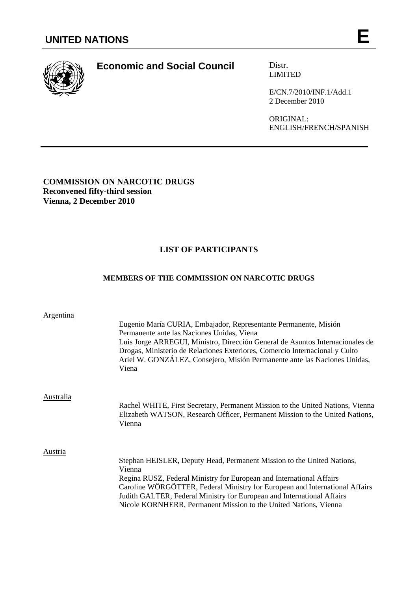

# **Economic and Social Council Distr.**

LIMITED

E/CN.7/2010/INF.1/Add.1 2 December 2010

ORIGINAL: ENGLISH/FRENCH/SPANISH

# **COMMISSION ON NARCOTIC DRUGS Reconvened fifty-third session Vienna, 2 December 2010**

# **LIST OF PARTICIPANTS**

# **MEMBERS OF THE COMMISSION ON NARCOTIC DRUGS**

| Argentina | Eugenio María CURIA, Embajador, Representante Permanente, Misión<br>Permanente ante las Naciones Unidas, Viena<br>Luis Jorge ARREGUI, Ministro, Dirección General de Asuntos Internacionales de<br>Drogas, Ministerio de Relaciones Exteriores, Comercio Internacional y Culto<br>Ariel W. GONZÁLEZ, Consejero, Misión Permanente ante las Naciones Unidas,<br>Viena                  |
|-----------|---------------------------------------------------------------------------------------------------------------------------------------------------------------------------------------------------------------------------------------------------------------------------------------------------------------------------------------------------------------------------------------|
| Australia | Rachel WHITE, First Secretary, Permanent Mission to the United Nations, Vienna<br>Elizabeth WATSON, Research Officer, Permanent Mission to the United Nations,<br>Vienna                                                                                                                                                                                                              |
| Austria   | Stephan HEISLER, Deputy Head, Permanent Mission to the United Nations,<br>Vienna<br>Regina RUSZ, Federal Ministry for European and International Affairs<br>Caroline WÖRGÖTTER, Federal Ministry for European and International Affairs<br>Judith GALTER, Federal Ministry for European and International Affairs<br>Nicole KORNHERR, Permanent Mission to the United Nations, Vienna |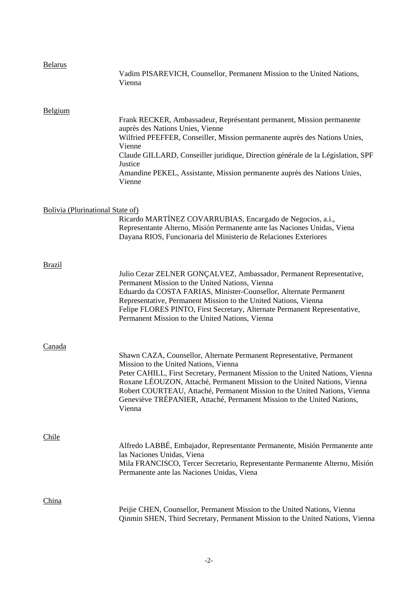# Belarus

|                                  | Vadim PISAREVICH, Counsellor, Permanent Mission to the United Nations,<br>Vienna                                                                                                                                                                                                                                                                                                                                                              |
|----------------------------------|-----------------------------------------------------------------------------------------------------------------------------------------------------------------------------------------------------------------------------------------------------------------------------------------------------------------------------------------------------------------------------------------------------------------------------------------------|
| Belgium                          | Frank RECKER, Ambassadeur, Représentant permanent, Mission permanente<br>auprès des Nations Unies, Vienne<br>Wilfried PFEFFER, Conseiller, Mission permanente auprès des Nations Unies,<br>Vienne<br>Claude GILLARD, Conseiller juridique, Direction générale de la Législation, SPF<br>Justice<br>Amandine PEKEL, Assistante, Mission permanente auprès des Nations Unies,<br>Vienne                                                         |
| Bolivia (Plurinational State of) | Ricardo MARTÍNEZ COVARRUBIAS, Encargado de Negocios, a.i.,<br>Representante Alterno, Misión Permanente ante las Naciones Unidas, Viena<br>Dayana RIOS, Funcionaria del Ministerio de Relaciones Exteriores                                                                                                                                                                                                                                    |
| <b>Brazil</b>                    | Julio Cezar ZELNER GONÇALVEZ, Ambassador, Permanent Representative,<br>Permanent Mission to the United Nations, Vienna<br>Eduardo da COSTA FARIAS, Minister-Counsellor, Alternate Permanent<br>Representative, Permanent Mission to the United Nations, Vienna<br>Felipe FLORES PINTO, First Secretary, Alternate Permanent Representative,<br>Permanent Mission to the United Nations, Vienna                                                |
| Canada                           | Shawn CAZA, Counsellor, Alternate Permanent Representative, Permanent<br>Mission to the United Nations, Vienna<br>Peter CAHILL, First Secretary, Permanent Mission to the United Nations, Vienna<br>Roxane LÉOUZON, Attaché, Permanent Mission to the United Nations, Vienna<br>Robert COURTEAU, Attaché, Permanent Mission to the United Nations, Vienna<br>Geneviève TRÉPANIER, Attaché, Permanent Mission to the United Nations,<br>Vienna |
| Chile                            | Alfredo LABBÉ, Embajador, Representante Permanente, Misión Permanente ante<br>las Naciones Unidas, Viena<br>Mila FRANCISCO, Tercer Secretario, Representante Permanente Alterno, Misión<br>Permanente ante las Naciones Unidas, Viena                                                                                                                                                                                                         |
| China                            | Peijie CHEN, Counsellor, Permanent Mission to the United Nations, Vienna<br>Qinmin SHEN, Third Secretary, Permanent Mission to the United Nations, Vienna                                                                                                                                                                                                                                                                                     |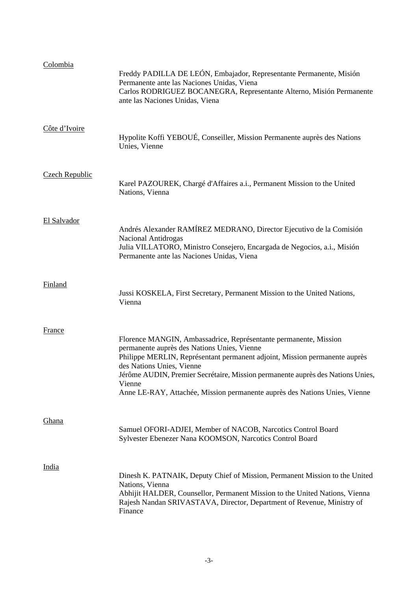| Colombia              | Freddy PADILLA DE LEÓN, Embajador, Representante Permanente, Misión<br>Permanente ante las Naciones Unidas, Viena<br>Carlos RODRIGUEZ BOCANEGRA, Representante Alterno, Misión Permanente<br>ante las Naciones Unidas, Viena                                                                                                                                                                         |
|-----------------------|------------------------------------------------------------------------------------------------------------------------------------------------------------------------------------------------------------------------------------------------------------------------------------------------------------------------------------------------------------------------------------------------------|
| Côte d'Ivoire         | Hypolite Koffi YEBOUÉ, Conseiller, Mission Permanente auprès des Nations<br>Unies, Vienne                                                                                                                                                                                                                                                                                                            |
| <b>Czech Republic</b> | Karel PAZOUREK, Chargé d'Affaires a.i., Permanent Mission to the United<br>Nations, Vienna                                                                                                                                                                                                                                                                                                           |
| El Salvador           | Andrés Alexander RAMÍREZ MEDRANO, Director Ejecutivo de la Comisión<br>Nacional Antidrogas<br>Julia VILLATORO, Ministro Consejero, Encargada de Negocios, a.i., Misión<br>Permanente ante las Naciones Unidas, Viena                                                                                                                                                                                 |
| Finland               | Jussi KOSKELA, First Secretary, Permanent Mission to the United Nations,<br>Vienna                                                                                                                                                                                                                                                                                                                   |
| <b>France</b>         | Florence MANGIN, Ambassadrice, Représentante permanente, Mission<br>permanente auprès des Nations Unies, Vienne<br>Philippe MERLIN, Représentant permanent adjoint, Mission permanente auprès<br>des Nations Unies, Vienne<br>Jérôme AUDIN, Premier Secrétaire, Mission permanente auprès des Nations Unies,<br>Vienne<br>Anne LE-RAY, Attachée, Mission permanente auprès des Nations Unies, Vienne |
| Ghana                 | Samuel OFORI-ADJEI, Member of NACOB, Narcotics Control Board<br>Sylvester Ebenezer Nana KOOMSON, Narcotics Control Board                                                                                                                                                                                                                                                                             |
| India                 | Dinesh K. PATNAIK, Deputy Chief of Mission, Permanent Mission to the United<br>Nations, Vienna<br>Abhijit HALDER, Counsellor, Permanent Mission to the United Nations, Vienna<br>Rajesh Nandan SRIVASTAVA, Director, Department of Revenue, Ministry of<br>Finance                                                                                                                                   |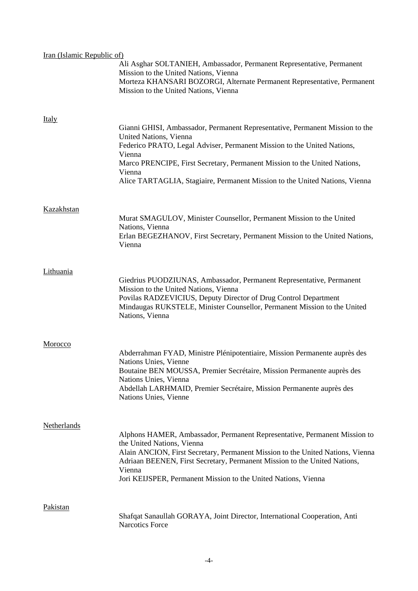| Iran (Islamic Republic of) |                                                                                                                                                                                                                                                                                                                                                    |
|----------------------------|----------------------------------------------------------------------------------------------------------------------------------------------------------------------------------------------------------------------------------------------------------------------------------------------------------------------------------------------------|
|                            | Ali Asghar SOLTANIEH, Ambassador, Permanent Representative, Permanent<br>Mission to the United Nations, Vienna<br>Morteza KHANSARI BOZORGI, Alternate Permanent Representative, Permanent<br>Mission to the United Nations, Vienna                                                                                                                 |
| <u>Italy</u>               |                                                                                                                                                                                                                                                                                                                                                    |
|                            | Gianni GHISI, Ambassador, Permanent Representative, Permanent Mission to the<br>United Nations, Vienna<br>Federico PRATO, Legal Adviser, Permanent Mission to the United Nations,                                                                                                                                                                  |
|                            | Vienna<br>Marco PRENCIPE, First Secretary, Permanent Mission to the United Nations,<br>Vienna<br>Alice TARTAGLIA, Stagiaire, Permanent Mission to the United Nations, Vienna                                                                                                                                                                       |
|                            |                                                                                                                                                                                                                                                                                                                                                    |
| <b>Kazakhstan</b>          | Murat SMAGULOV, Minister Counsellor, Permanent Mission to the United<br>Nations, Vienna<br>Erlan BEGEZHANOV, First Secretary, Permanent Mission to the United Nations,<br>Vienna                                                                                                                                                                   |
| Lithuania                  |                                                                                                                                                                                                                                                                                                                                                    |
|                            | Giedrius PUODZIUNAS, Ambassador, Permanent Representative, Permanent<br>Mission to the United Nations, Vienna<br>Povilas RADZEVICIUS, Deputy Director of Drug Control Department<br>Mindaugas RUKSTELE, Minister Counsellor, Permanent Mission to the United<br>Nations, Vienna                                                                    |
| Morocco                    |                                                                                                                                                                                                                                                                                                                                                    |
|                            | Abderrahman FYAD, Ministre Plénipotentiaire, Mission Permanente auprès des<br>Nations Unies, Vienne<br>Boutaine BEN MOUSSA, Premier Secrétaire, Mission Permanente auprès des<br>Nations Unies, Vienna<br>Abdellah LARHMAID, Premier Secrétaire, Mission Permanente auprès des                                                                     |
|                            | Nations Unies, Vienne                                                                                                                                                                                                                                                                                                                              |
| <b>Netherlands</b>         | Alphons HAMER, Ambassador, Permanent Representative, Permanent Mission to<br>the United Nations, Vienna<br>Alain ANCION, First Secretary, Permanent Mission to the United Nations, Vienna<br>Adriaan BEENEN, First Secretary, Permanent Mission to the United Nations,<br>Vienna<br>Jori KEIJSPER, Permanent Mission to the United Nations, Vienna |
| <b>Pakistan</b>            |                                                                                                                                                                                                                                                                                                                                                    |
|                            | Shafqat Sanaullah GORAYA, Joint Director, International Cooperation, Anti<br><b>Narcotics Force</b>                                                                                                                                                                                                                                                |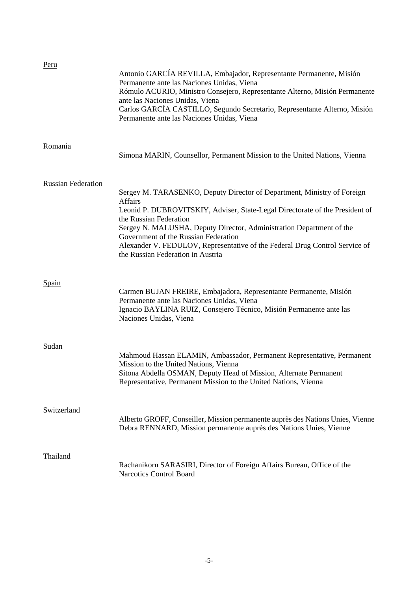| Peru                      | Antonio GARCÍA REVILLA, Embajador, Representante Permanente, Misión<br>Permanente ante las Naciones Unidas, Viena<br>Rómulo ACURIO, Ministro Consejero, Representante Alterno, Misión Permanente<br>ante las Naciones Unidas, Viena<br>Carlos GARCÍA CASTILLO, Segundo Secretario, Representante Alterno, Misión<br>Permanente ante las Naciones Unidas, Viena                                                                          |
|---------------------------|-----------------------------------------------------------------------------------------------------------------------------------------------------------------------------------------------------------------------------------------------------------------------------------------------------------------------------------------------------------------------------------------------------------------------------------------|
| Romania                   | Simona MARIN, Counsellor, Permanent Mission to the United Nations, Vienna                                                                                                                                                                                                                                                                                                                                                               |
| <b>Russian Federation</b> | Sergey M. TARASENKO, Deputy Director of Department, Ministry of Foreign<br><b>Affairs</b><br>Leonid P. DUBROVITSKIY, Adviser, State-Legal Directorate of the President of<br>the Russian Federation<br>Sergey N. MALUSHA, Deputy Director, Administration Department of the<br>Government of the Russian Federation<br>Alexander V. FEDULOV, Representative of the Federal Drug Control Service of<br>the Russian Federation in Austria |
| <u>Spain</u>              | Carmen BUJAN FREIRE, Embajadora, Representante Permanente, Misión<br>Permanente ante las Naciones Unidas, Viena<br>Ignacio BAYLINA RUIZ, Consejero Técnico, Misión Permanente ante las<br>Naciones Unidas, Viena                                                                                                                                                                                                                        |
| Sudan                     | Mahmoud Hassan ELAMIN, Ambassador, Permanent Representative, Permanent<br>Mission to the United Nations, Vienna<br>Sitona Abdella OSMAN, Deputy Head of Mission, Alternate Permanent<br>Representative, Permanent Mission to the United Nations, Vienna                                                                                                                                                                                 |
| <b>Switzerland</b>        | Alberto GROFF, Conseiller, Mission permanente auprès des Nations Unies, Vienne<br>Debra RENNARD, Mission permanente auprès des Nations Unies, Vienne                                                                                                                                                                                                                                                                                    |
| <b>Thailand</b>           | Rachanikorn SARASIRI, Director of Foreign Affairs Bureau, Office of the<br>Narcotics Control Board                                                                                                                                                                                                                                                                                                                                      |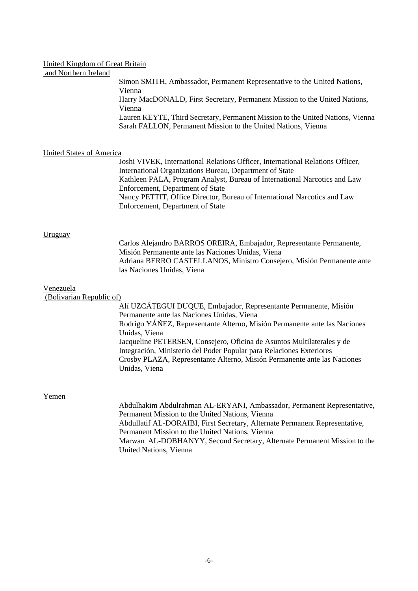### United Kingdom of Great Britain

# and Northern Ireland

Simon SMITH, Ambassador, Permanent Representative to the United Nations, Vienna Harry MacDONALD, First Secretary, Permanent Mission to the United Nations, Vienna Lauren KEYTE, Third Secretary, Permanent Mission to the United Nations, Vienna Sarah FALLON, Permanent Mission to the United Nations, Vienna

### United States of America

Joshi VIVEK, International Relations Officer, International Relations Officer, International Organizations Bureau, Department of State Kathleen PALA, Program Analyst, Bureau of International Narcotics and Law Enforcement, Department of State Nancy PETTIT, Office Director, Bureau of International Narcotics and Law Enforcement, Department of State

#### Uruguay

Carlos Alejandro BARROS OREIRA, Embajador, Representante Permanente, Misión Permanente ante las Naciones Unidas, Viena Adriana BERRO CASTELLANOS, Ministro Consejero, Misión Permanente ante las Naciones Unidas, Viena

#### Venezuela

#### (Bolivarian Republic of)

Alí UZCÁTEGUI DUQUE, Embajador, Representante Permanente, Misión Permanente ante las Naciones Unidas, Viena Rodrigo YÁÑEZ, Representante Alterno, Misión Permanente ante las Naciones Unidas, Viena Jacqueline PETERSEN, Consejero, Oficina de Asuntos Multilaterales y de Integración, Ministerio del Poder Popular para Relaciones Exteriores Crosby PLAZA, Representante Alterno, Misión Permanente ante las Naciones Unidas, Viena

#### Yemen

Abdulhakim Abdulrahman AL-ERYANI, Ambassador, Permanent Representative, Permanent Mission to the United Nations, Vienna Abdullatif AL-DORAIBI, First Secretary, Alternate Permanent Representative, Permanent Mission to the United Nations, Vienna Marwan AL-DOBHANYY, Second Secretary, Alternate Permanent Mission to the United Nations, Vienna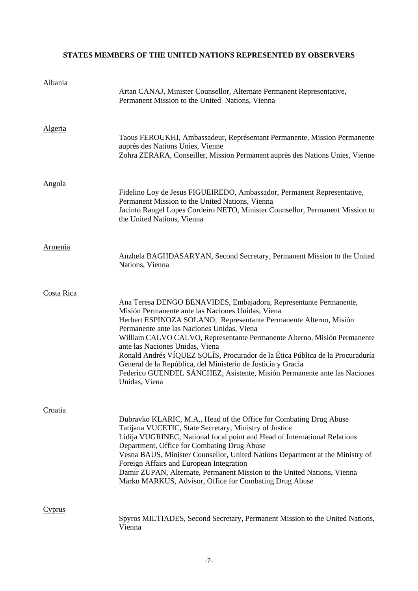# **STATES MEMBERS OF THE UNITED NATIONS REPRESENTED BY OBSERVERS**

| Albania        | Artan CANAJ, Minister Counsellor, Alternate Permanent Representative,<br>Permanent Mission to the United Nations, Vienna                                                                                                                                                                                                                                                                                                                                                                                                                                                                               |
|----------------|--------------------------------------------------------------------------------------------------------------------------------------------------------------------------------------------------------------------------------------------------------------------------------------------------------------------------------------------------------------------------------------------------------------------------------------------------------------------------------------------------------------------------------------------------------------------------------------------------------|
| <b>Algeria</b> | Taous FEROUKHI, Ambassadeur, Représentant Permanente, Mission Permanente<br>auprès des Nations Unies, Vienne<br>Zohra ZERARA, Conseiller, Mission Permanent auprès des Nations Unies, Vienne                                                                                                                                                                                                                                                                                                                                                                                                           |
| <u>Angola</u>  | Fidelino Loy de Jesus FIGUEIREDO, Ambassador, Permanent Representative,<br>Permanent Mission to the United Nations, Vienna<br>Jacinto Rangel Lopes Cordeiro NETO, Minister Counsellor, Permanent Mission to<br>the United Nations, Vienna                                                                                                                                                                                                                                                                                                                                                              |
| <b>Armenia</b> | Anzhela BAGHDASARYAN, Second Secretary, Permanent Mission to the United<br>Nations, Vienna                                                                                                                                                                                                                                                                                                                                                                                                                                                                                                             |
| Costa Rica     | Ana Teresa DENGO BENAVIDES, Embajadora, Representante Permanente,<br>Misión Permanente ante las Naciones Unidas, Viena<br>Herbert ESPINOZA SOLANO, Representante Permanente Alterno, Misión<br>Permanente ante las Naciones Unidas, Viena<br>William CALVO CALVO, Representante Permanente Alterno, Misión Permanente<br>ante las Naciones Unidas, Viena<br>Ronald Andrés VÍQUEZ SOLÍS, Procurador de la Ética Pública de la Procuraduría<br>General de la República, del Ministerio de Justicia y Gracia<br>Federico GUENDEL SÁNCHEZ, Asistente, Misión Permanente ante las Naciones<br>Unidas, Viena |
| Croatia        | Dubravko KLARIC, M.A., Head of the Office for Combating Drug Abuse<br>Tatijana VUCETIC, State Secretary, Ministry of Justice<br>Lidija VUGRINEC, National focal point and Head of International Relations<br>Department, Office for Combating Drug Abuse<br>Vesna BAUS, Minister Counsellor, United Nations Department at the Ministry of<br>Foreign Affairs and European Integration<br>Damir ZUPAN, Alternate, Permanent Mission to the United Nations, Vienna<br>Marko MARKUS, Advisor, Office for Combating Drug Abuse                                                                             |
| Cyprus         | Spyros MILTIADES, Second Secretary, Permanent Mission to the United Nations,<br>Vienna                                                                                                                                                                                                                                                                                                                                                                                                                                                                                                                 |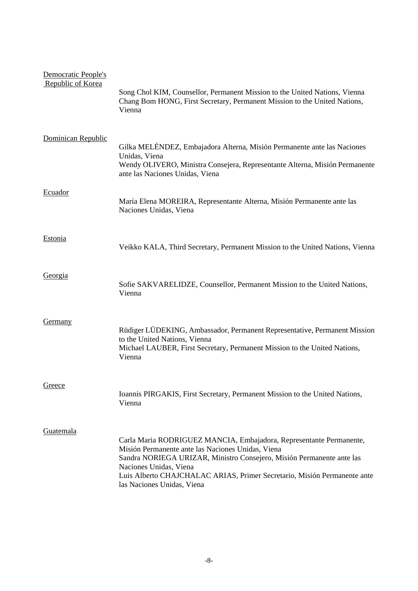| Democratic People's<br>Republic of Korea | Song Chol KIM, Counsellor, Permanent Mission to the United Nations, Vienna<br>Chang Bom HONG, First Secretary, Permanent Mission to the United Nations,<br>Vienna                                                                                                                                                                     |
|------------------------------------------|---------------------------------------------------------------------------------------------------------------------------------------------------------------------------------------------------------------------------------------------------------------------------------------------------------------------------------------|
| Dominican Republic                       | Gilka MELÉNDEZ, Embajadora Alterna, Misión Permanente ante las Naciones<br>Unidas, Viena<br>Wendy OLIVERO, Ministra Consejera, Representante Alterna, Misión Permanente<br>ante las Naciones Unidas, Viena                                                                                                                            |
| Ecuador                                  | María Elena MOREIRA, Representante Alterna, Misión Permanente ante las<br>Naciones Unidas, Viena                                                                                                                                                                                                                                      |
| <b>Estonia</b>                           | Veikko KALA, Third Secretary, Permanent Mission to the United Nations, Vienna                                                                                                                                                                                                                                                         |
| Georgia                                  | Sofie SAKVARELIDZE, Counsellor, Permanent Mission to the United Nations,<br>Vienna                                                                                                                                                                                                                                                    |
| <b>Germany</b>                           | Rüdiger LÜDEKING, Ambassador, Permanent Representative, Permanent Mission<br>to the United Nations, Vienna<br>Michael LAUBER, First Secretary, Permanent Mission to the United Nations,<br>Vienna                                                                                                                                     |
| Greece                                   | Ioannis PIRGAKIS, First Secretary, Permanent Mission to the United Nations,<br>Vienna                                                                                                                                                                                                                                                 |
| Guatemala                                | Carla Maria RODRIGUEZ MANCIA, Embajadora, Representante Permanente,<br>Misión Permanente ante las Naciones Unidas, Viena<br>Sandra NORIEGA URIZAR, Ministro Consejero, Misión Permanente ante las<br>Naciones Unidas, Viena<br>Luis Alberto CHAJCHALAC ARIAS, Primer Secretario, Misión Permanente ante<br>las Naciones Unidas, Viena |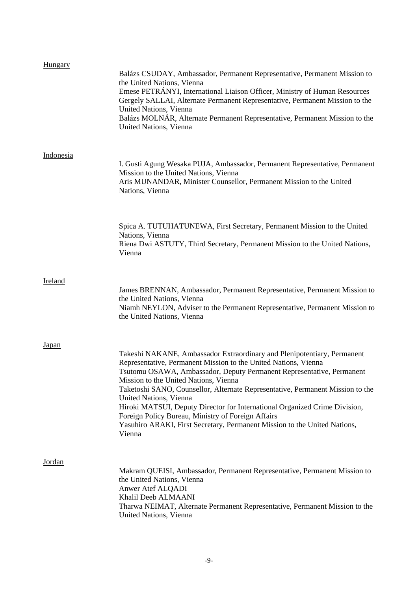| Hungary          | Balázs CSUDAY, Ambassador, Permanent Representative, Permanent Mission to<br>the United Nations, Vienna<br>Emese PETRÁNYI, International Liaison Officer, Ministry of Human Resources<br>Gergely SALLAI, Alternate Permanent Representative, Permanent Mission to the<br>United Nations, Vienna<br>Balázs MOLNÁR, Alternate Permanent Representative, Permanent Mission to the<br>United Nations, Vienna                                                                                                                                                                                            |
|------------------|-----------------------------------------------------------------------------------------------------------------------------------------------------------------------------------------------------------------------------------------------------------------------------------------------------------------------------------------------------------------------------------------------------------------------------------------------------------------------------------------------------------------------------------------------------------------------------------------------------|
| <b>Indonesia</b> | I. Gusti Agung Wesaka PUJA, Ambassador, Permanent Representative, Permanent<br>Mission to the United Nations, Vienna<br>Aris MUNANDAR, Minister Counsellor, Permanent Mission to the United<br>Nations, Vienna                                                                                                                                                                                                                                                                                                                                                                                      |
|                  | Spica A. TUTUHATUNEWA, First Secretary, Permanent Mission to the United<br>Nations, Vienna<br>Riena Dwi ASTUTY, Third Secretary, Permanent Mission to the United Nations,<br>Vienna                                                                                                                                                                                                                                                                                                                                                                                                                 |
| Ireland          | James BRENNAN, Ambassador, Permanent Representative, Permanent Mission to<br>the United Nations, Vienna<br>Niamh NEYLON, Adviser to the Permanent Representative, Permanent Mission to<br>the United Nations, Vienna                                                                                                                                                                                                                                                                                                                                                                                |
| Japan            | Takeshi NAKANE, Ambassador Extraordinary and Plenipotentiary, Permanent<br>Representative, Permanent Mission to the United Nations, Vienna<br>Tsutomu OSAWA, Ambassador, Deputy Permanent Representative, Permanent<br>Mission to the United Nations, Vienna<br>Taketoshi SANO, Counsellor, Alternate Representative, Permanent Mission to the<br>United Nations, Vienna<br>Hiroki MATSUI, Deputy Director for International Organized Crime Division,<br>Foreign Policy Bureau, Ministry of Foreign Affairs<br>Yasuhiro ARAKI, First Secretary, Permanent Mission to the United Nations,<br>Vienna |
| Jordan           | Makram QUEISI, Ambassador, Permanent Representative, Permanent Mission to<br>the United Nations, Vienna<br>Anwer Atef ALQADI<br>Khalil Deeb ALMAANI<br>Tharwa NEIMAT, Alternate Permanent Representative, Permanent Mission to the<br>United Nations, Vienna                                                                                                                                                                                                                                                                                                                                        |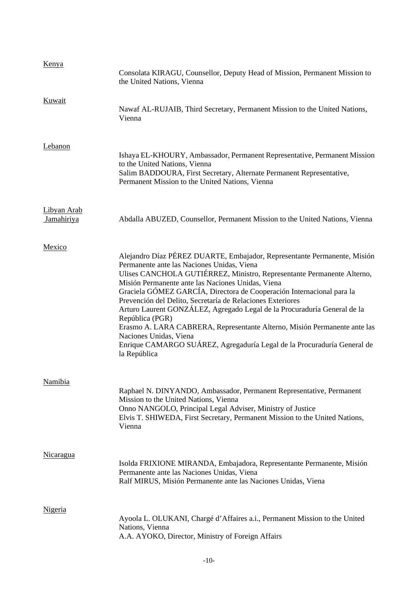| Kenya                     | Consolata KIRAGU, Counsellor, Deputy Head of Mission, Permanent Mission to<br>the United Nations, Vienna                                                                                                                                                                                                                                                                                                                                                                                                                                                                                                                                                                                      |
|---------------------------|-----------------------------------------------------------------------------------------------------------------------------------------------------------------------------------------------------------------------------------------------------------------------------------------------------------------------------------------------------------------------------------------------------------------------------------------------------------------------------------------------------------------------------------------------------------------------------------------------------------------------------------------------------------------------------------------------|
| Kuwait                    | Nawaf AL-RUJAIB, Third Secretary, Permanent Mission to the United Nations,<br>Vienna                                                                                                                                                                                                                                                                                                                                                                                                                                                                                                                                                                                                          |
| Lebanon                   | Ishaya EL-KHOURY, Ambassador, Permanent Representative, Permanent Mission<br>to the United Nations, Vienna<br>Salim BADDOURA, First Secretary, Alternate Permanent Representative,<br>Permanent Mission to the United Nations, Vienna                                                                                                                                                                                                                                                                                                                                                                                                                                                         |
| Libyan Arab<br>Jamahiriya | Abdalla ABUZED, Counsellor, Permanent Mission to the United Nations, Vienna                                                                                                                                                                                                                                                                                                                                                                                                                                                                                                                                                                                                                   |
| Mexico                    | Alejandro Díaz PÉREZ DUARTE, Embajador, Representante Permanente, Misión<br>Permanente ante las Naciones Unidas, Viena<br>Ulises CANCHOLA GUTIÉRREZ, Ministro, Representante Permanente Alterno,<br>Misión Permanente ante las Naciones Unidas, Viena<br>Graciela GÓMEZ GARCÍA, Directora de Cooperación Internacional para la<br>Prevención del Delito, Secretaría de Relaciones Exteriores<br>Arturo Laurent GONZÁLEZ, Agregado Legal de la Procuraduría General de la<br>República (PGR)<br>Erasmo A. LARA CABRERA, Representante Alterno, Misión Permanente ante las<br>Naciones Unidas, Viena<br>Enrique CAMARGO SUÁREZ, Agregaduría Legal de la Procuraduría General de<br>la República |
| <b>Namibia</b>            | Raphael N. DINYANDO, Ambassador, Permanent Representative, Permanent<br>Mission to the United Nations, Vienna<br>Onno NANGOLO, Principal Legal Adviser, Ministry of Justice<br>Elvis T. SHIWEDA, First Secretary, Permanent Mission to the United Nations,<br>Vienna                                                                                                                                                                                                                                                                                                                                                                                                                          |
| <b>Nicaragua</b>          | Isolda FRIXIONE MIRANDA, Embajadora, Representante Permanente, Misión<br>Permanente ante las Naciones Unidas, Viena<br>Ralf MIRUS, Misión Permanente ante las Naciones Unidas, Viena                                                                                                                                                                                                                                                                                                                                                                                                                                                                                                          |
| Nigeria                   | Ayoola L. OLUKANI, Chargé d'Affaires a.i., Permanent Mission to the United<br>Nations, Vienna<br>A.A. AYOKO, Director, Ministry of Foreign Affairs                                                                                                                                                                                                                                                                                                                                                                                                                                                                                                                                            |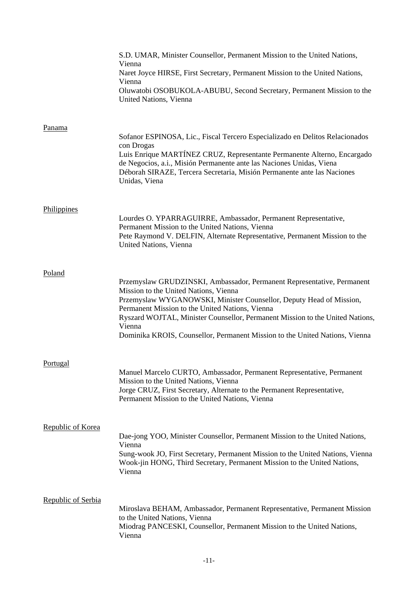|                    | S.D. UMAR, Minister Counsellor, Permanent Mission to the United Nations,<br>Vienna<br>Naret Joyce HIRSE, First Secretary, Permanent Mission to the United Nations,<br>Vienna<br>Oluwatobi OSOBUKOLA-ABUBU, Second Secretary, Permanent Mission to the<br>United Nations, Vienna                                                                                                                                     |
|--------------------|---------------------------------------------------------------------------------------------------------------------------------------------------------------------------------------------------------------------------------------------------------------------------------------------------------------------------------------------------------------------------------------------------------------------|
| Panama             | Sofanor ESPINOSA, Lic., Fiscal Tercero Especializado en Delitos Relacionados<br>con Drogas<br>Luis Enrique MARTÍNEZ CRUZ, Representante Permanente Alterno, Encargado<br>de Negocios, a.i., Misión Permanente ante las Naciones Unidas, Viena<br>Déborah SIRAZE, Tercera Secretaria, Misión Permanente ante las Naciones<br>Unidas, Viena                                                                           |
| Philippines        | Lourdes O. YPARRAGUIRRE, Ambassador, Permanent Representative,<br>Permanent Mission to the United Nations, Vienna<br>Pete Raymond V. DELFIN, Alternate Representative, Permanent Mission to the<br>United Nations, Vienna                                                                                                                                                                                           |
| Poland             | Przemyslaw GRUDZINSKI, Ambassador, Permanent Representative, Permanent<br>Mission to the United Nations, Vienna<br>Przemyslaw WYGANOWSKI, Minister Counsellor, Deputy Head of Mission,<br>Permanent Mission to the United Nations, Vienna<br>Ryszard WOJTAL, Minister Counsellor, Permanent Mission to the United Nations,<br>Vienna<br>Dominika KROIS, Counsellor, Permanent Mission to the United Nations, Vienna |
| Portugal           | Manuel Marcelo CURTO, Ambassador, Permanent Representative, Permanent<br>Mission to the United Nations, Vienna<br>Jorge CRUZ, First Secretary, Alternate to the Permanent Representative,<br>Permanent Mission to the United Nations, Vienna                                                                                                                                                                        |
| Republic of Korea  | Dae-jong YOO, Minister Counsellor, Permanent Mission to the United Nations,<br>Vienna<br>Sung-wook JO, First Secretary, Permanent Mission to the United Nations, Vienna<br>Wook-jin HONG, Third Secretary, Permanent Mission to the United Nations,<br>Vienna                                                                                                                                                       |
| Republic of Serbia | Miroslava BEHAM, Ambassador, Permanent Representative, Permanent Mission<br>to the United Nations, Vienna<br>Miodrag PANCESKI, Counsellor, Permanent Mission to the United Nations,<br>Vienna                                                                                                                                                                                                                       |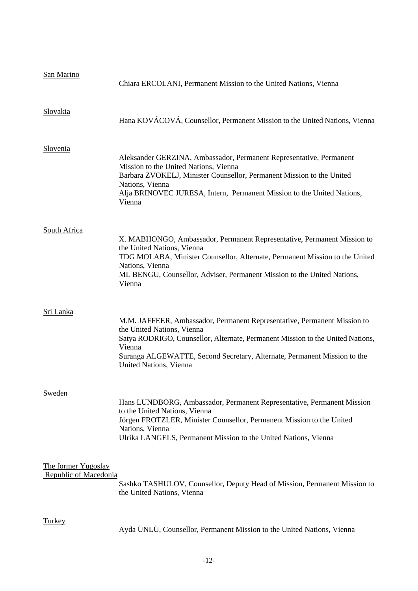| San Marino                                   | Chiara ERCOLANI, Permanent Mission to the United Nations, Vienna                                                                                                                                                                                                                                         |
|----------------------------------------------|----------------------------------------------------------------------------------------------------------------------------------------------------------------------------------------------------------------------------------------------------------------------------------------------------------|
| Slovakia                                     | Hana KOVÁCOVÁ, Counsellor, Permanent Mission to the United Nations, Vienna                                                                                                                                                                                                                               |
| Slovenia                                     | Aleksander GERZINA, Ambassador, Permanent Representative, Permanent<br>Mission to the United Nations, Vienna<br>Barbara ZVOKELJ, Minister Counsellor, Permanent Mission to the United<br>Nations, Vienna<br>Alja BRINOVEC JURESA, Intern, Permanent Mission to the United Nations,<br>Vienna             |
| South Africa                                 | X. MABHONGO, Ambassador, Permanent Representative, Permanent Mission to<br>the United Nations, Vienna<br>TDG MOLABA, Minister Counsellor, Alternate, Permanent Mission to the United<br>Nations, Vienna<br>ML BENGU, Counsellor, Adviser, Permanent Mission to the United Nations,<br>Vienna             |
| Sri Lanka                                    | M.M. JAFFEER, Ambassador, Permanent Representative, Permanent Mission to<br>the United Nations, Vienna<br>Satya RODRIGO, Counsellor, Alternate, Permanent Mission to the United Nations,<br>Vienna<br>Suranga ALGEWATTE, Second Secretary, Alternate, Permanent Mission to the<br>United Nations, Vienna |
| Sweden                                       | Hans LUNDBORG, Ambassador, Permanent Representative, Permanent Mission<br>to the United Nations, Vienna<br>Jörgen FROTZLER, Minister Counsellor, Permanent Mission to the United<br>Nations, Vienna<br>Ulrika LANGELS, Permanent Mission to the United Nations, Vienna                                   |
| The former Yugoslav<br>Republic of Macedonia | Sashko TASHULOV, Counsellor, Deputy Head of Mission, Permanent Mission to<br>the United Nations, Vienna                                                                                                                                                                                                  |
| <b>Turkey</b>                                | Ayda ÜNLÜ, Counsellor, Permanent Mission to the United Nations, Vienna                                                                                                                                                                                                                                   |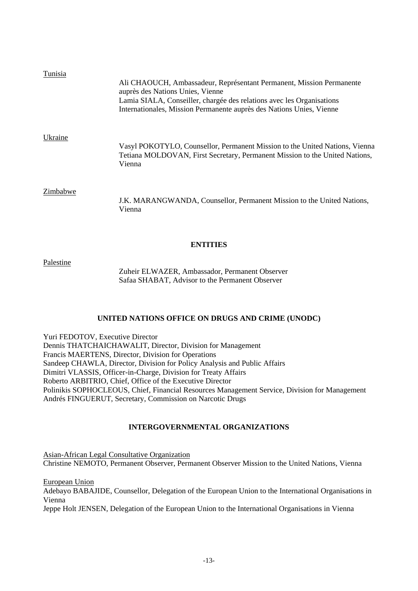| Tunisia  | Ali CHAOUCH, Ambassadeur, Représentant Permanent, Mission Permanente<br>auprès des Nations Unies, Vienne<br>Lamia SIALA, Conseiller, chargée des relations avec les Organisations<br>Internationales, Mission Permanente auprès des Nations Unies, Vienne |
|----------|-----------------------------------------------------------------------------------------------------------------------------------------------------------------------------------------------------------------------------------------------------------|
| Ukraine  | Vasyl POKOTYLO, Counsellor, Permanent Mission to the United Nations, Vienna<br>Tetiana MOLDOVAN, First Secretary, Permanent Mission to the United Nations,<br>Vienna                                                                                      |
| Zimbabwe | J.K. MARANGWANDA, Counsellor, Permanent Mission to the United Nations,<br>Vienna                                                                                                                                                                          |

## **ENTITIES**

Palestine

Zuheir ELWAZER, Ambassador, Permanent Observer Safaa SHABAT, Advisor to the Permanent Observer

## **UNITED NATIONS OFFICE ON DRUGS AND CRIME (UNODC)**

Yuri FEDOTOV, Executive Director Dennis THATCHAICHAWALIT, Director, Division for Management Francis MAERTENS, Director, Division for Operations Sandeep CHAWLA, Director, Division for Policy Analysis and Public Affairs Dimitri VLASSIS, Officer-in-Charge, Division for Treaty Affairs Roberto ARBITRIO, Chief, Office of the Executive Director Polinikis SOPHOCLEOUS, Chief, Financial Resources Management Service, Division for Management Andrés FINGUERUT, Secretary, Commission on Narcotic Drugs

# **INTERGOVERNMENTAL ORGANIZATIONS**

Asian-African Legal Consultative Organization Christine NEMOTO, Permanent Observer, Permanent Observer Mission to the United Nations, Vienna

European Union Adebayo BABAJIDE, Counsellor, Delegation of the European Union to the International Organisations in Vienna Jeppe Holt JENSEN, Delegation of the European Union to the International Organisations in Vienna